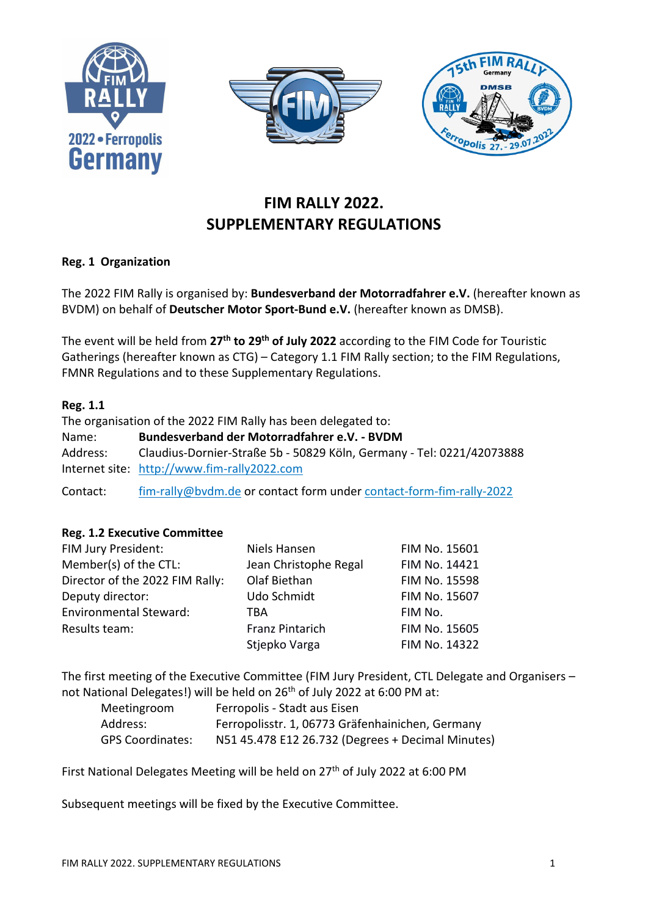





# **FIM RALLY 2022. SUPPLEMENTARY REGULATIONS**

## **Reg. 1 Organization**

The 2022 FIM Rally is organised by: **Bundesverband der Motorradfahrer e.V.** (hereafter known as BVDM) on behalf of **Deutscher Motor Sport-Bund e.V.** (hereafter known as DMSB).

The event will be held from **27th to 29th of July 2022** according to the FIM Code for Touristic Gatherings (hereafter known as CTG) – Category 1.1 FIM Rally section; to the FIM Regulations, FMNR Regulations and to these Supplementary Regulations.

#### **Reg. 1.1**

The organisation of the 2022 FIM Rally has been delegated to: Name: **Bundesverband der Motorradfahrer e.V. - BVDM** Address: Claudius-Dornier-Straße 5b - 50829 Köln, Germany - Tel: 0221/42073888 Internet site: [http://www.fim-rally2022.com](http://www.fim-rally2022.com/) Contact: [fim-rally@bvdm.de](mailto:fim-rally@bvdm.de) or contact form under [contact-form-fim-rally-2022](https://blog.bvdm.de/contact-form-fim-rally-2022/)

# **Reg. 1.2 Executive Committee**

| FIM Jury President:             | Niels Hansen           | FIM No. 15601 |
|---------------------------------|------------------------|---------------|
| Member(s) of the CTL:           | Jean Christophe Regal  | FIM No. 14421 |
| Director of the 2022 FIM Rally: | Olaf Biethan           | FIM No. 15598 |
| Deputy director:                | Udo Schmidt            | FIM No. 15607 |
| <b>Environmental Steward:</b>   | TBA                    | FIM No.       |
| Results team:                   | <b>Franz Pintarich</b> | FIM No. 15605 |
|                                 | Stjepko Varga          | FIM No. 14322 |

The first meeting of the Executive Committee (FIM Jury President, CTL Delegate and Organisers – not National Delegates!) will be held on 26<sup>th</sup> of July 2022 at 6:00 PM at:

| Meetingroom             | Ferropolis - Stadt aus Eisen                      |
|-------------------------|---------------------------------------------------|
| Address:                | Ferropolisstr. 1, 06773 Gräfenhainichen, Germany  |
| <b>GPS Coordinates:</b> | N51 45.478 E12 26.732 (Degrees + Decimal Minutes) |

First National Delegates Meeting will be held on 27<sup>th</sup> of July 2022 at 6:00 PM

Subsequent meetings will be fixed by the Executive Committee.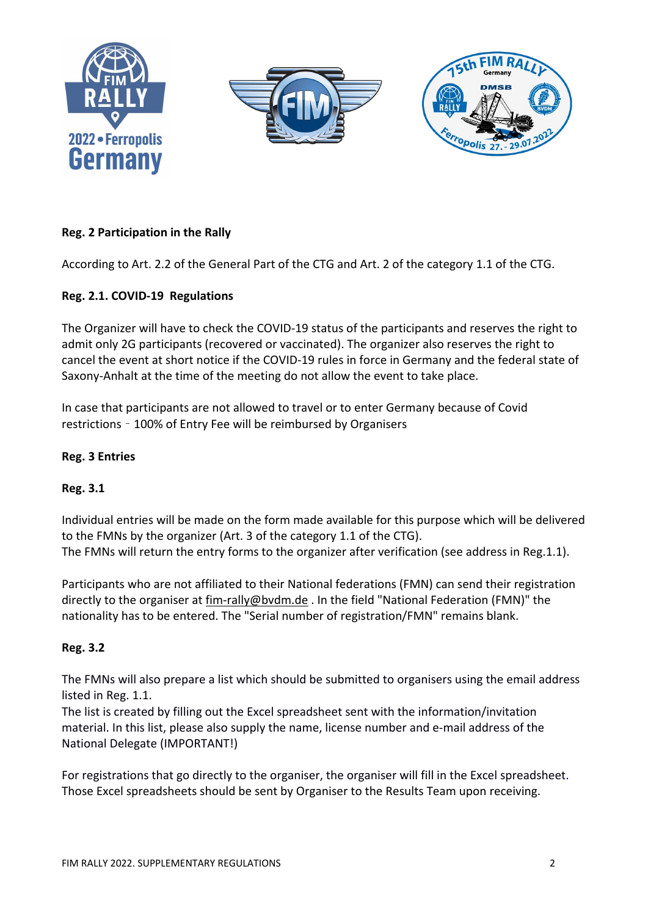

# **Reg. 2 Participation in the Rally**

According to Art. 2.2 of the General Part of the CTG and Art. 2 of the category 1.1 of the CTG.

## **Reg. 2.1. COVID-19 Regulations**

The Organizer will have to check the COVID-19 status of the participants and reserves the right to admit only 2G participants (recovered or vaccinated). The organizer also reserves the right to cancel the event at short notice if the COVID-19 rules in force in Germany and the federal state of Saxony-Anhalt at the time of the meeting do not allow the event to take place.

In case that participants are not allowed to travel or to enter Germany because of Covid restrictions – 100% of Entry Fee will be reimbursed by Organisers

#### **Reg. 3 Entries**

## **Reg. 3.1**

Individual entries will be made on the form made available for this purpose which will be delivered to the FMNs by the organizer (Art. 3 of the category 1.1 of the CTG). The FMNs will return the entry forms to the organizer after verification (see address in Reg.1.1).

Participants who are not affiliated to their National federations (FMN) can send their registration directly to the organiser at [fim-rally@bvdm.de](mailto:fim-rally@bvdm.de) . In the field "National Federation (FMN)" the nationality has to be entered. The "Serial number of registration/FMN" remains blank.

## **Reg. 3.2**

The FMNs will also prepare a list which should be submitted to organisers using the email address listed in Reg. 1.1.

The list is created by filling out the Excel spreadsheet sent with the information/invitation material. In this list, please also supply the name, license number and e-mail address of the National Delegate (IMPORTANT!)

For registrations that go directly to the organiser, the organiser will fill in the Excel spreadsheet. Those Excel spreadsheets should be sent by Organiser to the Results Team upon receiving.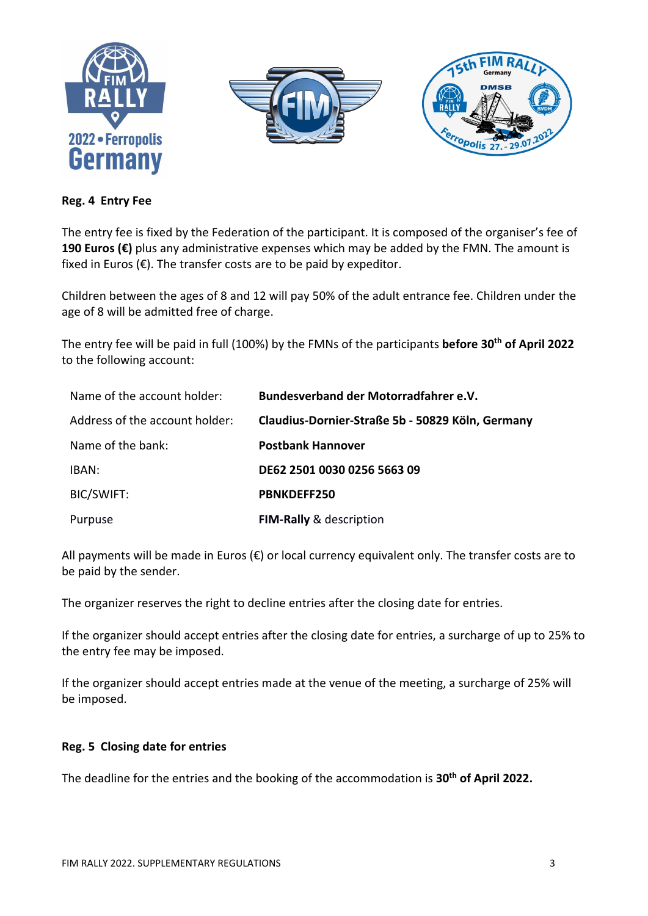





#### **Reg. 4 Entry Fee**

The entry fee is fixed by the Federation of the participant. It is composed of the organiser's fee of **190 Euros (€)** plus any administrative expenses which may be added by the FMN. The amount is fixed in Euros ( $\varepsilon$ ). The transfer costs are to be paid by expeditor.

Children between the ages of 8 and 12 will pay 50% of the adult entrance fee. Children under the age of 8 will be admitted free of charge.

The entry fee will be paid in full (100%) by the FMNs of the participants **before 30th of April 2022** to the following account:

| Name of the account holder:    | Bundesverband der Motorradfahrer e.V.            |
|--------------------------------|--------------------------------------------------|
| Address of the account holder: | Claudius-Dornier-Straße 5b - 50829 Köln, Germany |
| Name of the bank:              | <b>Postbank Hannover</b>                         |
| IBAN:                          | DE62 2501 0030 0256 5663 09                      |
| BIC/SWIFT:                     | <b>PBNKDEFF250</b>                               |
| Purpuse                        | FIM-Rally & description                          |

All payments will be made in Euros ( $\varepsilon$ ) or local currency equivalent only. The transfer costs are to be paid by the sender.

The organizer reserves the right to decline entries after the closing date for entries.

If the organizer should accept entries after the closing date for entries, a surcharge of up to 25% to the entry fee may be imposed.

If the organizer should accept entries made at the venue of the meeting, a surcharge of 25% will be imposed.

#### **Reg. 5 Closing date for entries**

The deadline for the entries and the booking of the accommodation is **30th of April 2022.**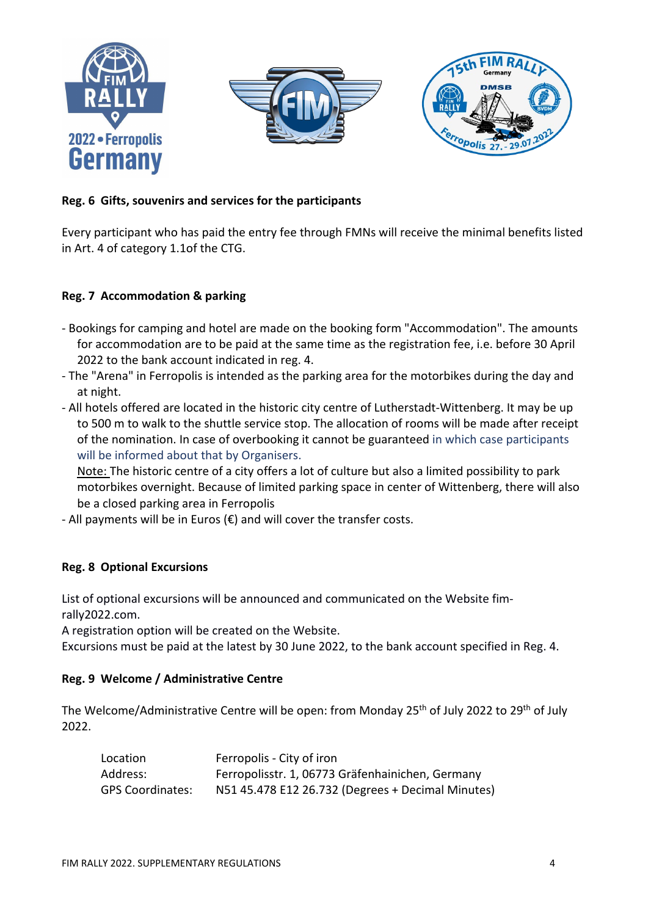





# **Reg. 6 Gifts, souvenirs and services for the participants**

Every participant who has paid the entry fee through FMNs will receive the minimal benefits listed in Art. 4 of category 1.1of the CTG.

## **Reg. 7 Accommodation & parking**

- Bookings for camping and hotel are made on the booking form "Accommodation". The amounts for accommodation are to be paid at the same time as the registration fee, i.e. before 30 April 2022 to the bank account indicated in reg. 4.
- The "Arena" in Ferropolis is intended as the parking area for the motorbikes during the day and at night.
- All hotels offered are located in the historic city centre of Lutherstadt-Wittenberg. It may be up to 500 m to walk to the shuttle service stop. The allocation of rooms will be made after receipt of the nomination. In case of overbooking it cannot be guaranteed in which case participants will be informed about that by Organisers.

Note: The historic centre of a city offers a lot of culture but also a limited possibility to park motorbikes overnight. Because of limited parking space in center of Wittenberg, there will also be a closed parking area in Ferropolis

- All payments will be in Euros ( $\varepsilon$ ) and will cover the transfer costs.

## **Reg. 8 Optional Excursions**

List of optional excursions will be announced and communicated on the Website fimrally2022.com.

A registration option will be created on the Website.

Excursions must be paid at the latest by 30 June 2022, to the bank account specified in Reg. 4.

## **Reg. 9 Welcome / Administrative Centre**

The Welcome/Administrative Centre will be open: from Monday 25<sup>th</sup> of July 2022 to 29<sup>th</sup> of July 2022.

| Location                | Ferropolis - City of iron                         |
|-------------------------|---------------------------------------------------|
| Address:                | Ferropolisstr. 1, 06773 Gräfenhainichen, Germany  |
| <b>GPS Coordinates:</b> | N51 45.478 E12 26.732 (Degrees + Decimal Minutes) |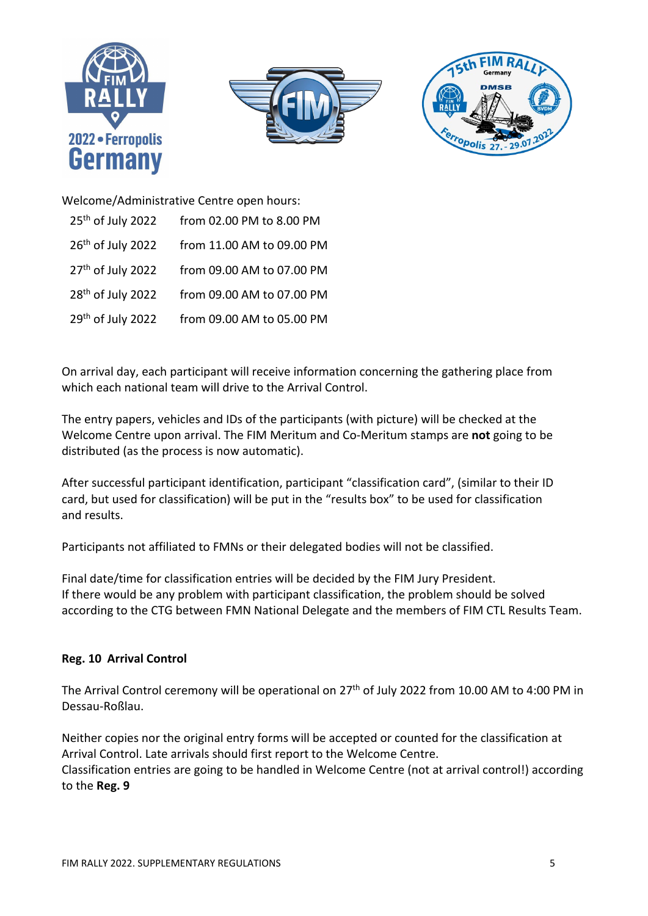





Welcome/Administrative Centre open hours: 25<sup>th</sup> of July 2022 from 02.00 PM to 8.00 PM 26<sup>th</sup> of July 2022 from 11.00 AM to 09.00 PM 27<sup>th</sup> of July 2022 from 09.00 AM to 07.00 PM 28<sup>th</sup> of July 2022 from 09.00 AM to 07.00 PM 29<sup>th</sup> of July 2022 from 09.00 AM to 05.00 PM

On arrival day, each participant will receive information concerning the gathering place from which each national team will drive to the Arrival Control.

The entry papers, vehicles and IDs of the participants (with picture) will be checked at the Welcome Centre upon arrival. The FIM Meritum and Co-Meritum stamps are **not** going to be distributed (as the process is now automatic).

After successful participant identification, participant "classification card", (similar to their ID card, but used for classification) will be put in the "results box" to be used for classification and results.

Participants not affiliated to FMNs or their delegated bodies will not be classified.

Final date/time for classification entries will be decided by the FIM Jury President. If there would be any problem with participant classification, the problem should be solved according to the CTG between FMN National Delegate and the members of FIM CTL Results Team.

## **Reg. 10 Arrival Control**

The Arrival Control ceremony will be operational on 27<sup>th</sup> of July 2022 from 10.00 AM to 4:00 PM in Dessau-Roßlau.

Neither copies nor the original entry forms will be accepted or counted for the classification at Arrival Control. Late arrivals should first report to the Welcome Centre. Classification entries are going to be handled in Welcome Centre (not at arrival control!) according to the **Reg. 9**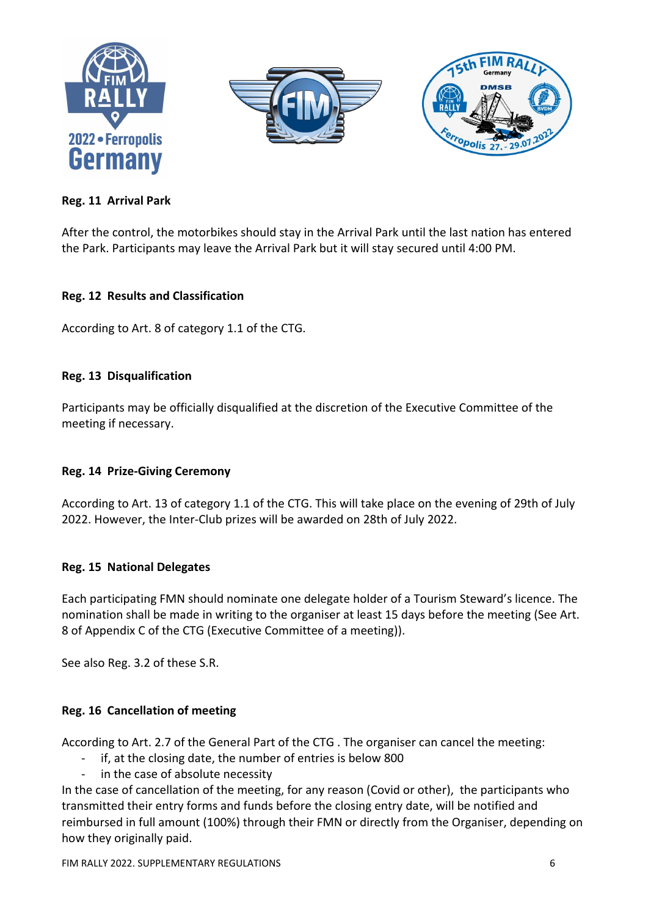





# **Reg. 11 Arrival Park**

After the control, the motorbikes should stay in the Arrival Park until the last nation has entered the Park. Participants may leave the Arrival Park but it will stay secured until 4:00 PM.

## **Reg. 12 Results and Classification**

According to Art. 8 of category 1.1 of the CTG.

#### **Reg. 13 Disqualification**

Participants may be officially disqualified at the discretion of the Executive Committee of the meeting if necessary.

## **Reg. 14 Prize-Giving Ceremony**

According to Art. 13 of category 1.1 of the CTG. This will take place on the evening of 29th of July 2022. However, the Inter-Club prizes will be awarded on 28th of July 2022.

## **Reg. 15 National Delegates**

Each participating FMN should nominate one delegate holder of a Tourism Steward's licence. The nomination shall be made in writing to the organiser at least 15 days before the meeting (See Art. 8 of Appendix C of the CTG (Executive Committee of a meeting)).

See also Reg. 3.2 of these S.R.

## **Reg. 16 Cancellation of meeting**

According to Art. 2.7 of the General Part of the CTG . The organiser can cancel the meeting:

- if, at the closing date, the number of entries is below 800
- in the case of absolute necessity

In the case of cancellation of the meeting, for any reason (Covid or other), the participants who transmitted their entry forms and funds before the closing entry date, will be notified and reimbursed in full amount (100%) through their FMN or directly from the Organiser, depending on how they originally paid.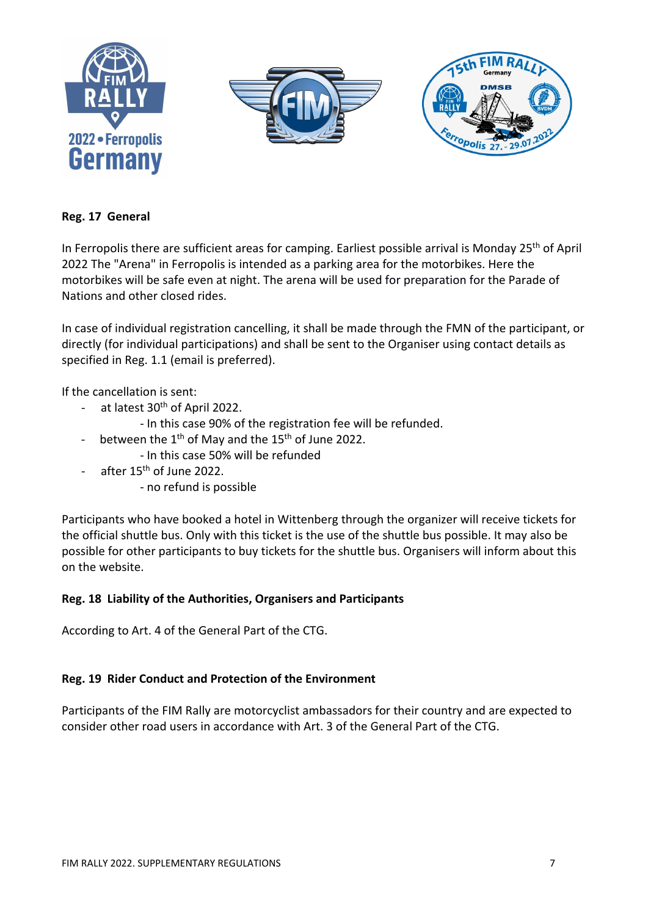

#### **Reg. 17 General**

In Ferropolis there are sufficient areas for camping. Earliest possible arrival is Monday 25<sup>th</sup> of April 2022 The "Arena" in Ferropolis is intended as a parking area for the motorbikes. Here the motorbikes will be safe even at night. The arena will be used for preparation for the Parade of Nations and other closed rides.

In case of individual registration cancelling, it shall be made through the FMN of the participant, or directly (for individual participations) and shall be sent to the Organiser using contact details as specified in Reg. 1.1 (email is preferred).

If the cancellation is sent:

- at latest 30<sup>th</sup> of April 2022.
	- In this case 90% of the registration fee will be refunded.
- between the 1<sup>th</sup> of May and the 15<sup>th</sup> of June 2022.
	- In this case 50% will be refunded
- after 15<sup>th</sup> of June 2022.
	- no refund is possible

Participants who have booked a hotel in Wittenberg through the organizer will receive tickets for the official shuttle bus. Only with this ticket is the use of the shuttle bus possible. It may also be possible for other participants to buy tickets for the shuttle bus. Organisers will inform about this on the website.

#### **Reg. 18 Liability of the Authorities, Organisers and Participants**

According to Art. 4 of the General Part of the CTG.

#### **Reg. 19 Rider Conduct and Protection of the Environment**

Participants of the FIM Rally are motorcyclist ambassadors for their country and are expected to consider other road users in accordance with Art. 3 of the General Part of the CTG.